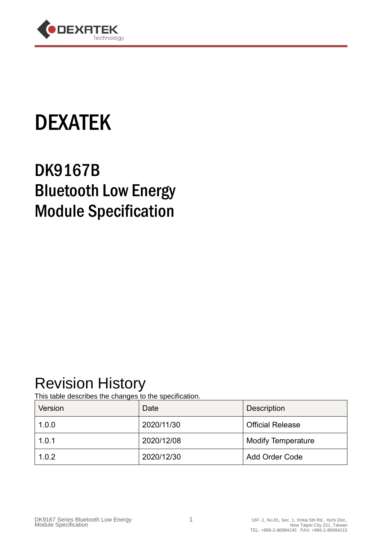

# DEXATEK

## DK9167B Bluetooth Low Energy Module Specification

### Revision History

This table describes the changes to the specification.

| Version | Date       | <b>Description</b>        |
|---------|------------|---------------------------|
| 1.0.0   | 2020/11/30 | <b>Official Release</b>   |
| 1.0.1   | 2020/12/08 | <b>Modify Temperature</b> |
| 1.0.2   | 2020/12/30 | <b>Add Order Code</b>     |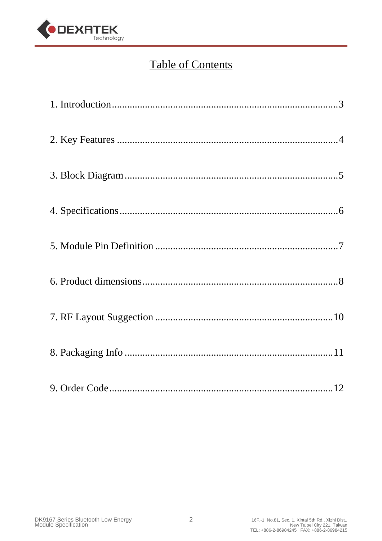

#### **Table of Contents**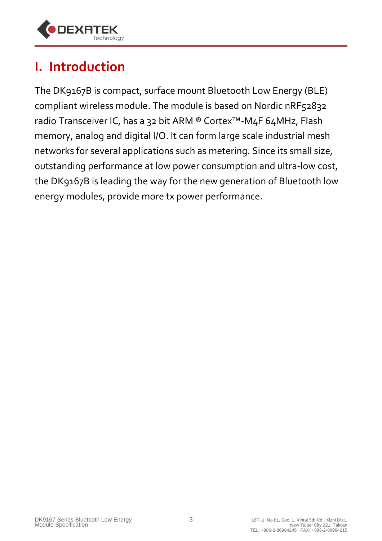

### **I. Introduction**

The DK9167B is compact, surface mount Bluetooth Low Energy (BLE) compliant wireless module. The module is based on Nordic nRF52832 radio Transceiver IC, has a 32 bit ARM ® Cortex™-M4F 64MHz, Flash memory, analog and digital I/O. It can form large scale industrial mesh networks for several applications such as metering. Since its small size, outstanding performance at low power consumption and ultra-low cost, the DK9167B is leading the way for the new generation of Bluetooth low energy modules, provide more tx power performance.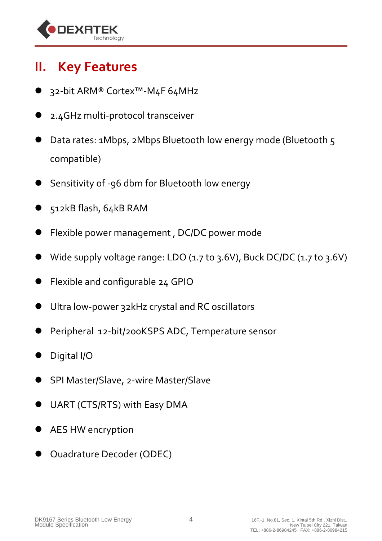

#### **II. Key Features**

- 32-bit ARM® Cortex™-M4F 64MHz
- 2.4GHz multi-protocol transceiver
- Data rates: 1Mbps, 2Mbps Bluetooth low energy mode (Bluetooth 5 compatible)
- Sensitivity of -96 dbm for Bluetooth low energy
- 512kB flash, 64kB RAM
- Flexible power management , DC/DC power mode
- Wide supply voltage range: LDO (1.7 to 3.6V), Buck DC/DC (1.7 to 3.6V)
- Flexible and configurable 24 GPIO
- Ultra low-power 32kHz crystal and RC oscillators
- Peripheral 12-bit/200KSPS ADC, Temperature sensor
- Digital I/O
- SPI Master/Slave, 2-wire Master/Slave
- UART (CTS/RTS) with Easy DMA
- AES HW encryption
- Quadrature Decoder (QDEC)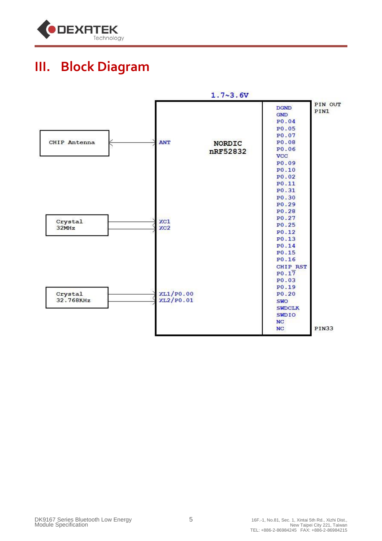

#### **III. Block Diagram**

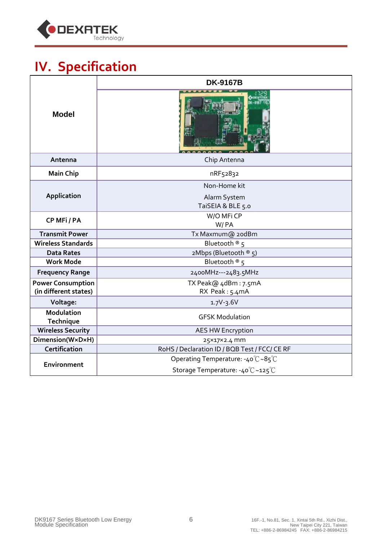

### **IV. Specification**

| <b>DK-9167B</b>                               |
|-----------------------------------------------|
|                                               |
| Chip Antenna                                  |
| nRF52832                                      |
| Non-Home kit                                  |
| Alarm System<br>TaiSEIA & BLE 5.0             |
| W/O MFi CP<br>W/PA                            |
| Tx Maxmum@ 20dBm                              |
| Bluetooth $\mathcal{B}$ 5                     |
| 2Mbps (Bluetooth ® 5)                         |
| Bluetooth $\mathcal{R}$ 5                     |
| 2400MHz---2483.5MHz                           |
| TX Peak@ 4dBm: 7.5mA                          |
| RX Peak: 5.4mA                                |
| $1.7V - 3.6V$                                 |
| <b>GFSK Modulation</b>                        |
| <b>AES HW Encryption</b>                      |
| 25×17×2.4 mm                                  |
| RoHS / Declaration ID / BQB Test / FCC/ CE RF |
| Operating Temperature: -40°C~85°C             |
| Storage Temperature: -40°C~125°C              |
|                                               |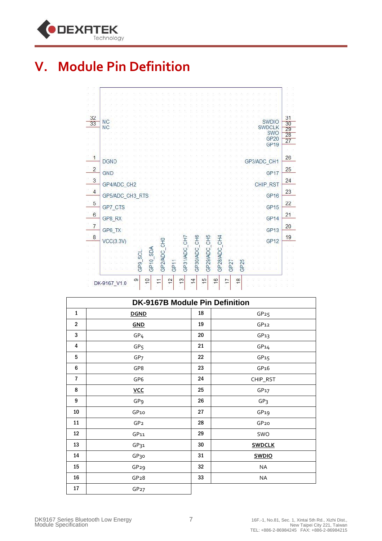

#### **V. Module Pin Definition**

| $\overline{c}$<br>GP17<br>GND<br>GP4/ADC_CH2<br>CHIP_RST<br>GP5/ADC_CH3_RTS<br>GP <sub>16</sub><br>GP7 CTS<br>GP <sub>15</sub><br>GP8 RX<br>GP <sub>14</sub> | 25<br>24<br>$\mathbf{3}$<br>$\overline{4}$<br>23<br>$\overline{5}$<br>22<br>$6\phantom{a}6$<br>21<br>$\overline{7}$<br>20<br>GP6 TX<br>GP <sub>13</sub><br>$\overline{8}$<br>19<br>CH <sub>5</sub><br>C <sub>H</sub> <sub>6</sub><br>C <sub>H</sub> <sub>4</sub><br>둥<br>운<br>5<br>VCC(3.3V)<br><b>GP12</b> | 1 | <b>DGND</b> |  |  |  |  |  |  |  |  |  |  |  |  | GP <sub>19</sub><br>GP3/ADC CH1 |  |
|--------------------------------------------------------------------------------------------------------------------------------------------------------------|-------------------------------------------------------------------------------------------------------------------------------------------------------------------------------------------------------------------------------------------------------------------------------------------------------------|---|-------------|--|--|--|--|--|--|--|--|--|--|--|--|---------------------------------|--|
|                                                                                                                                                              |                                                                                                                                                                                                                                                                                                             |   |             |  |  |  |  |  |  |  |  |  |  |  |  |                                 |  |
|                                                                                                                                                              |                                                                                                                                                                                                                                                                                                             |   |             |  |  |  |  |  |  |  |  |  |  |  |  |                                 |  |
|                                                                                                                                                              |                                                                                                                                                                                                                                                                                                             |   |             |  |  |  |  |  |  |  |  |  |  |  |  |                                 |  |

|                 | <b>DK-9167B Module Pin Definition</b> |    |                  |  |  |  |
|-----------------|---------------------------------------|----|------------------|--|--|--|
| $\mathbf{1}$    | <b>DGND</b>                           | 18 | GP25             |  |  |  |
| $\overline{2}$  | GND                                   | 19 | GP <sub>12</sub> |  |  |  |
| 3               | GP <sub>4</sub>                       | 20 | GP13             |  |  |  |
| 4               | GP <sub>5</sub>                       | 21 | GP14             |  |  |  |
| 5               | GP <sub>7</sub>                       | 22 | GP <sub>15</sub> |  |  |  |
| 6               | GP8                                   | 23 | GP16             |  |  |  |
| 7               | GP <sub>6</sub>                       | 24 | CHIP_RST         |  |  |  |
| 8               | <b>VCC</b>                            | 25 | GP <sub>17</sub> |  |  |  |
| 9               | GP <sub>9</sub>                       | 26 | GP <sub>3</sub>  |  |  |  |
| 10              | GP10                                  | 27 | GP19             |  |  |  |
| 11              | GP <sub>2</sub>                       | 28 | GP <sub>20</sub> |  |  |  |
| 12 <sup>2</sup> | GP11                                  | 29 | SWO              |  |  |  |
| 13              | GP <sub>31</sub>                      | 30 | <b>SWDCLK</b>    |  |  |  |
| 14              | GP <sub>30</sub>                      | 31 | <b>SWDIO</b>     |  |  |  |
| 15              | GP <sub>29</sub>                      | 32 | NA               |  |  |  |
| 16              | GP <sub>28</sub>                      | 33 | <b>NA</b>        |  |  |  |
| 17              | GP27                                  |    |                  |  |  |  |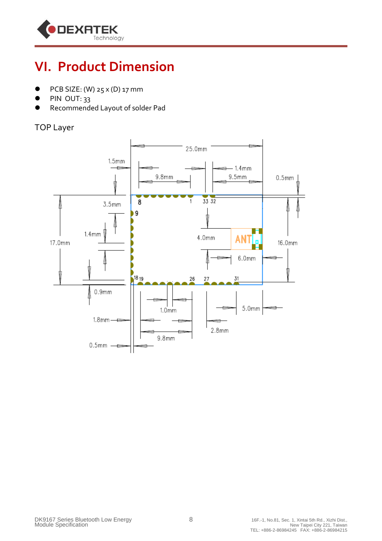

#### **VI. Product Dimension**

- PCB SIZE: (W) 25 x (D) 17 mm
- $\bullet$  PIN OUT: 33
- Recommended Layout of solder Pad

#### TOP Layer

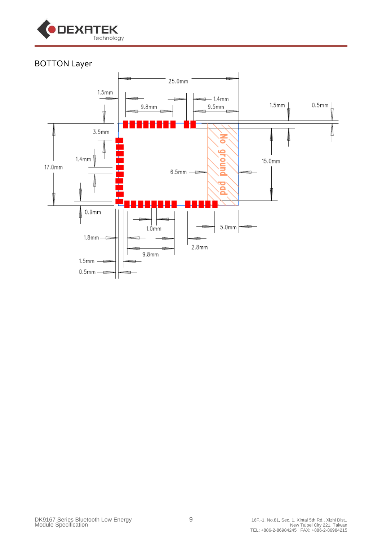

#### BOTTON Layer

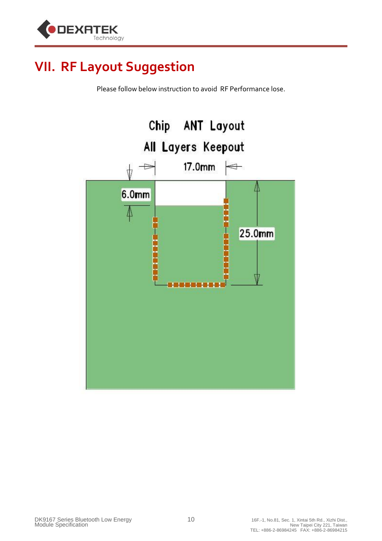

#### **VII. RF Layout Suggestion**

Please follow below instruction to avoid RF Performance lose.

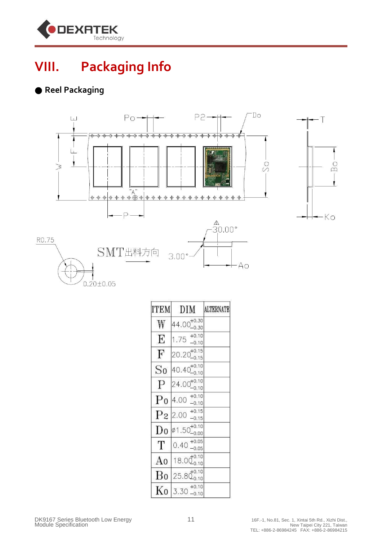

### **VIII. Packaging Info**

#### ● **Reel Packaging**



| <b>ITEM</b>    | DIM                            | <b>ALTERNATE</b> |
|----------------|--------------------------------|------------------|
| W              | $44.00^{+0.30}_{-0.30}$        |                  |
| E              | $1.75^{+0.10}_{-0.10}$         |                  |
| $\mathbf F$    | $20.20^{+0.15}_{-0.15}$        |                  |
| So             | $40.40^{+0.10}_{-0.10}$        |                  |
| $\mathbf{P}$   | $24.00^{+0.10}_{-0.10}$        |                  |
| $P_0$          | $4.00^{+0.10}_{-0.10}$         |                  |
| P <sub>2</sub> | $+0.15$<br>2.00<br>$-0.15$     |                  |
| Do             | $\phi$ 1.50 $^{+0.10}_{-0.00}$ |                  |
| Т              | $0.40^{+0.05}_{-0.05}$         |                  |
| A0             | $18.0\frac{+0.10}{0.10}$       |                  |
| Bo             | $25.80^{+0.10}_{-0.10}$        |                  |
| Kο             | $+0.10$<br>$3.30 - 0.10$       |                  |